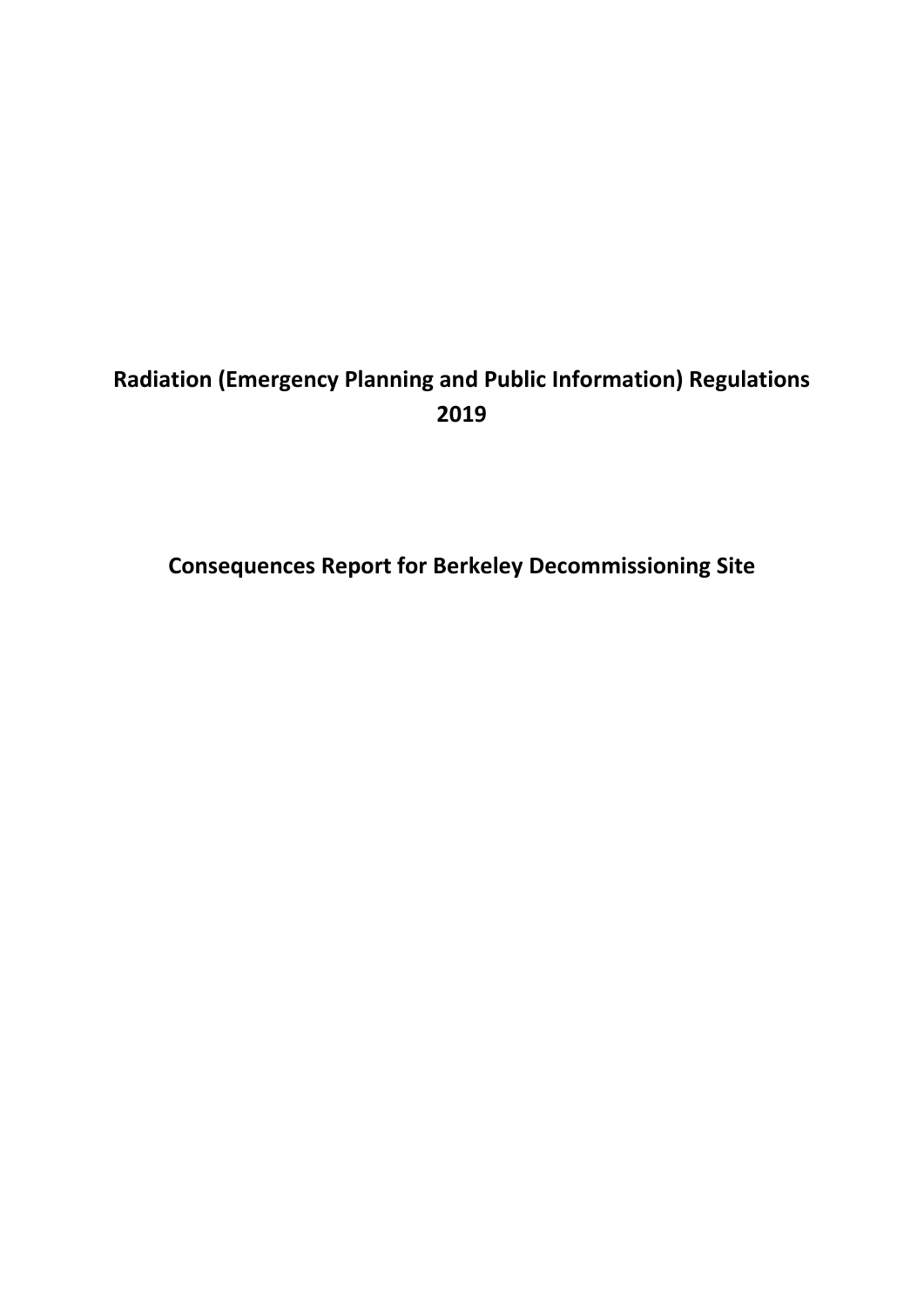## **Radiation (Emergency Planning and Public Information) Regulations 2019**

**Consequences Report for Berkeley Decommissioning Site**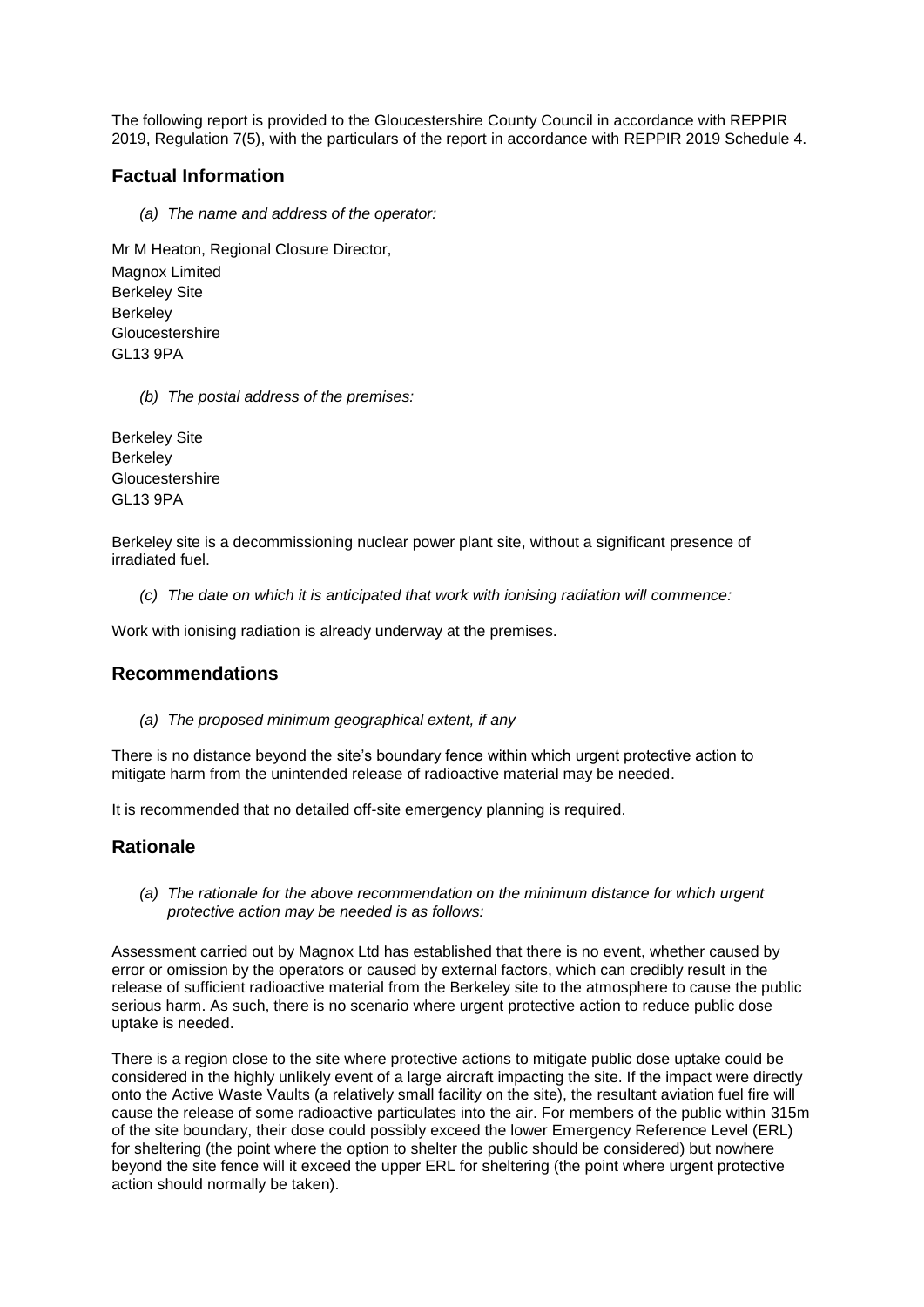The following report is provided to the Gloucestershire County Council in accordance with REPPIR 2019, Regulation 7(5), with the particulars of the report in accordance with REPPIR 2019 Schedule 4.

## **Factual Information**

*(a) The name and address of the operator:*

Mr M Heaton, Regional Closure Director, Magnox Limited Berkeley Site **Berkeley** Gloucestershire GL13 9PA

*(b) The postal address of the premises:*

Berkeley Site Berkeley Gloucestershire GL13 9PA

Berkeley site is a decommissioning nuclear power plant site, without a significant presence of irradiated fuel.

*(c) The date on which it is anticipated that work with ionising radiation will commence:*

Work with ionising radiation is already underway at the premises.

## **Recommendations**

*(a) The proposed minimum geographical extent, if any*

There is no distance beyond the site's boundary fence within which urgent protective action to mitigate harm from the unintended release of radioactive material may be needed.

It is recommended that no detailed off-site emergency planning is required.

## **Rationale**

*(a) The rationale for the above recommendation on the minimum distance for which urgent protective action may be needed is as follows:*

Assessment carried out by Magnox Ltd has established that there is no event, whether caused by error or omission by the operators or caused by external factors, which can credibly result in the release of sufficient radioactive material from the Berkeley site to the atmosphere to cause the public serious harm. As such, there is no scenario where urgent protective action to reduce public dose uptake is needed.

There is a region close to the site where protective actions to mitigate public dose uptake could be considered in the highly unlikely event of a large aircraft impacting the site. If the impact were directly onto the Active Waste Vaults (a relatively small facility on the site), the resultant aviation fuel fire will cause the release of some radioactive particulates into the air. For members of the public within 315m of the site boundary, their dose could possibly exceed the lower Emergency Reference Level (ERL) for sheltering (the point where the option to shelter the public should be considered) but nowhere beyond the site fence will it exceed the upper ERL for sheltering (the point where urgent protective action should normally be taken).